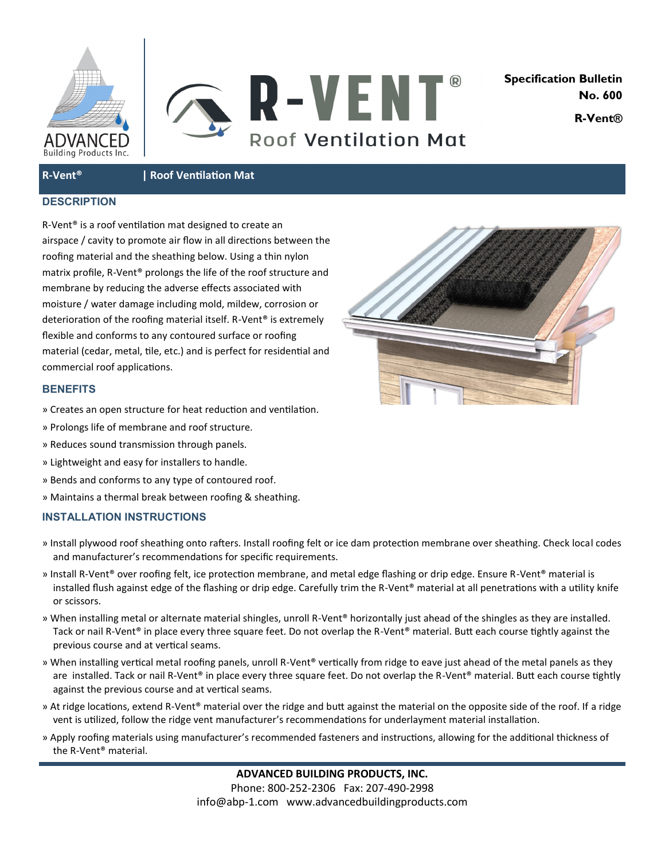



**Specification Bulletin No. 600 R-Vent®**

**R-Vent® | Roof Ventilation Mat**

## **DESCRIPTION**

R-Vent® is a roof ventilation mat designed to create an airspace / cavity to promote air flow in all directions between the roofing material and the sheathing below. Using a thin nylon matrix profile, R-Vent® prolongs the life of the roof structure and membrane by reducing the adverse effects associated with moisture / water damage including mold, mildew, corrosion or deterioration of the roofing material itself. R-Vent® is extremely flexible and conforms to any contoured surface or roofing material (cedar, metal, tile, etc.) and is perfect for residential and commercial roof applications.

## **BENEFITS**

- » Creates an open structure for heat reduction and ventilation.
- » Prolongs life of membrane and roof structure.
- » Reduces sound transmission through panels.
- » Lightweight and easy for installers to handle.
- » Bends and conforms to any type of contoured roof.
- » Maintains a thermal break between roofing & sheathing.

## **INSTALLATION INSTRUCTIONS**

- » Install plywood roof sheathing onto rafters. Install roofing felt or ice dam protection membrane over sheathing. Check local codes and manufacturer's recommendations for specific requirements.
- » Install R-Vent® over roofing felt, ice protection membrane, and metal edge flashing or drip edge. Ensure R-Vent® material is installed flush against edge of the flashing or drip edge. Carefully trim the R-Vent® material at all penetrations with a utility knife or scissors.
- » When installing metal or alternate material shingles, unroll R-Vent® horizontally just ahead of the shingles as they are installed. Tack or nail R-Vent® in place every three square feet. Do not overlap the R-Vent® material. Butt each course tightly against the previous course and at vertical seams.
- » When installing vertical metal roofing panels, unroll R-Vent® vertically from ridge to eave just ahead of the metal panels as they are installed. Tack or nail R-Vent® in place every three square feet. Do not overlap the R-Vent® material. Butt each course tightly against the previous course and at vertical seams.
- » At ridge locations, extend R-Vent® material over the ridge and butt against the material on the opposite side of the roof. If a ridge vent is utilized, follow the ridge vent manufacturer's recommendations for underlayment material installation.
- » Apply roofing materials using manufacturer's recommended fasteners and instructions, allowing for the additional thickness of the R-Vent® material.

**ADVANCED BUILDING PRODUCTS, INC.** Phone: 800-252-2306 Fax: 207-490-2998 info@abp-1.com www.advancedbuildingproducts.com